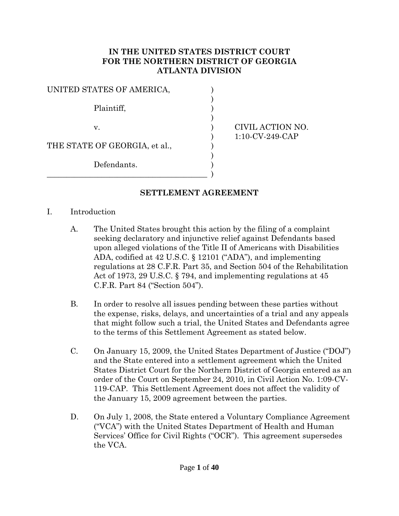#### **IN THE UNITED STATES DISTRICT COURT FOR THE NORTHERN DISTRICT OF GEORGIA ATLANTA DIVISION**

| UNITED STATES OF AMERICA,     |  |
|-------------------------------|--|
| Plaintiff,                    |  |
| V.                            |  |
| THE STATE OF GEORGIA, et al., |  |
| Defendants.                   |  |
|                               |  |

CIVIL ACTION NO. ) 1:10-CV-249-CAP

#### **SETTLEMENT AGREEMENT**

- I. Introduction
	- A. The United States brought this action by the filing of a complaint seeking declaratory and injunctive relief against Defendants based upon alleged violations of the Title II of Americans with Disabilities ADA, codified at 42 U.S.C. § 12101 ("ADA"), and implementing regulations at 28 C.F.R. Part 35, and Section 504 of the Rehabilitation Act of 1973, 29 U.S.C. § 794, and implementing regulations at 45 C.F.R. Part 84 ("Section 504").
	- B. In order to resolve all issues pending between these parties without the expense, risks, delays, and uncertainties of a trial and any appeals that might follow such a trial, the United States and Defendants agree to the terms of this Settlement Agreement as stated below.
	- C. On January 15, 2009, the United States Department of Justice ("DOJ") and the State entered into a settlement agreement which the United States District Court for the Northern District of Georgia entered as an order of the Court on September 24, 2010, in Civil Action No. 1:09-CV-119-CAP. This Settlement Agreement does not affect the validity of the January 15, 2009 agreement between the parties.
	- D. On July 1, 2008, the State entered a Voluntary Compliance Agreement ("VCA") with the United States Department of Health and Human Services' Office for Civil Rights ("OCR"). This agreement supersedes the VCA.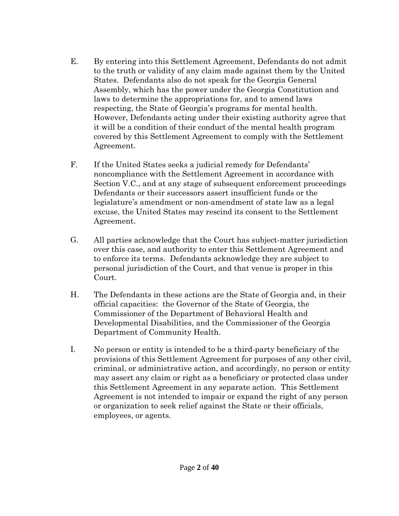- E. By entering into this Settlement Agreement, Defendants do not admit to the truth or validity of any claim made against them by the United States. Defendants also do not speak for the Georgia General Assembly, which has the power under the Georgia Constitution and laws to determine the appropriations for, and to amend laws respecting, the State of Georgia's programs for mental health. However, Defendants acting under their existing authority agree that it will be a condition of their conduct of the mental health program covered by this Settlement Agreement to comply with the Settlement Agreement.
- F. If the United States seeks a judicial remedy for Defendants' noncompliance with the Settlement Agreement in accordance with Section V.C., and at any stage of subsequent enforcement proceedings Defendants or their successors assert insufficient funds or the legislature's amendment or non-amendment of state law as a legal excuse, the United States may rescind its consent to the Settlement Agreement.
- G. All parties acknowledge that the Court has subject-matter jurisdiction over this case, and authority to enter this Settlement Agreement and to enforce its terms. Defendants acknowledge they are subject to personal jurisdiction of the Court, and that venue is proper in this Court.
- H. The Defendants in these actions are the State of Georgia and, in their official capacities: the Governor of the State of Georgia, the Commissioner of the Department of Behavioral Health and Developmental Disabilities, and the Commissioner of the Georgia Department of Community Health.
- I. No person or entity is intended to be a third-party beneficiary of the provisions of this Settlement Agreement for purposes of any other civil, criminal, or administrative action, and accordingly, no person or entity may assert any claim or right as a beneficiary or protected class under this Settlement Agreement in any separate action. This Settlement Agreement is not intended to impair or expand the right of any person or organization to seek relief against the State or their officials, employees, or agents.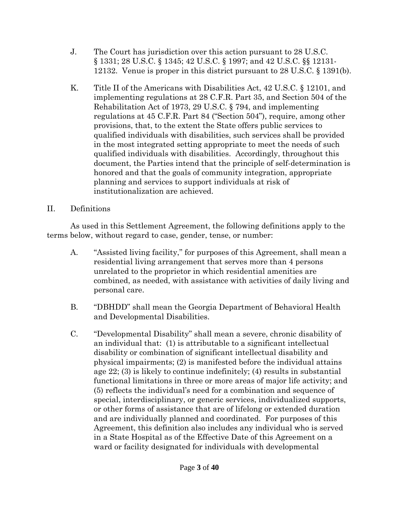- J. The Court has jurisdiction over this action pursuant to 28 U.S.C. § 1331; 28 U.S.C. § 1345; 42 U.S.C. § 1997; and 42 U.S.C. §§ 12131- 12132. Venue is proper in this district pursuant to 28 U.S.C. § 1391(b).
- K. Title II of the Americans with Disabilities Act, 42 U.S.C. § 12101, and implementing regulations at 28 C.F.R. Part 35, and Section 504 of the Rehabilitation Act of 1973, 29 U.S.C. § 794, and implementing regulations at 45 C.F.R. Part 84 ("Section 504"), require, among other provisions, that, to the extent the State offers public services to qualified individuals with disabilities, such services shall be provided in the most integrated setting appropriate to meet the needs of such qualified individuals with disabilities. Accordingly, throughout this document, the Parties intend that the principle of self-determination is honored and that the goals of community integration, appropriate planning and services to support individuals at risk of institutionalization are achieved.

#### II. Definitions

As used in this Settlement Agreement, the following definitions apply to the terms below, without regard to case, gender, tense, or number:

- A. "Assisted living facility," for purposes of this Agreement, shall mean a residential living arrangement that serves more than 4 persons unrelated to the proprietor in which residential amenities are combined, as needed, with assistance with activities of daily living and personal care.
- B. "DBHDD" shall mean the Georgia Department of Behavioral Health and Developmental Disabilities.
- C. "Developmental Disability" shall mean a severe, chronic disability of an individual that: (1) is attributable to a significant intellectual disability or combination of significant intellectual disability and physical impairments; (2) is manifested before the individual attains age 22; (3) is likely to continue indefinitely; (4) results in substantial functional limitations in three or more areas of major life activity; and (5) reflects the individual's need for a combination and sequence of special, interdisciplinary, or generic services, individualized supports, or other forms of assistance that are of lifelong or extended duration and are individually planned and coordinated. For purposes of this Agreement, this definition also includes any individual who is served in a State Hospital as of the Effective Date of this Agreement on a ward or facility designated for individuals with developmental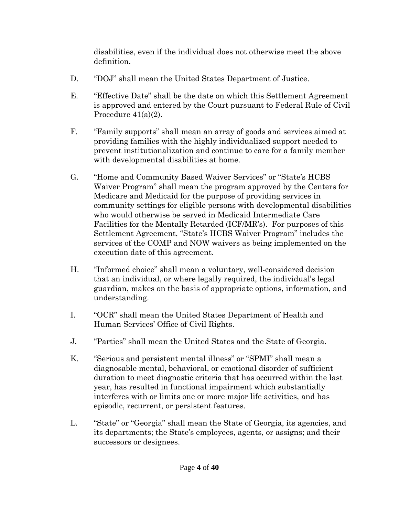disabilities, even if the individual does not otherwise meet the above definition.

- D. "DOJ" shall mean the United States Department of Justice.
- E. "Effective Date" shall be the date on which this Settlement Agreement is approved and entered by the Court pursuant to Federal Rule of Civil Procedure 41(a)(2).
- F. "Family supports" shall mean an array of goods and services aimed at providing families with the highly individualized support needed to prevent institutionalization and continue to care for a family member with developmental disabilities at home.
- G. "Home and Community Based Waiver Services" or "State's HCBS Waiver Program" shall mean the program approved by the Centers for Medicare and Medicaid for the purpose of providing services in community settings for eligible persons with developmental disabilities who would otherwise be served in Medicaid Intermediate Care Facilities for the Mentally Retarded (ICF/MR's). For purposes of this Settlement Agreement, "State's HCBS Waiver Program" includes the services of the COMP and NOW waivers as being implemented on the execution date of this agreement.
- H. "Informed choice" shall mean a voluntary, well-considered decision that an individual, or where legally required, the individual's legal guardian, makes on the basis of appropriate options, information, and understanding.
- I. "OCR" shall mean the United States Department of Health and Human Services' Office of Civil Rights.
- J. "Parties" shall mean the United States and the State of Georgia.
- K. "Serious and persistent mental illness" or "SPMI" shall mean a diagnosable mental, behavioral, or emotional disorder of sufficient duration to meet diagnostic criteria that has occurred within the last year, has resulted in functional impairment which substantially interferes with or limits one or more major life activities, and has episodic, recurrent, or persistent features.
- L. "State" or "Georgia" shall mean the State of Georgia, its agencies, and its departments; the State's employees, agents, or assigns; and their successors or designees.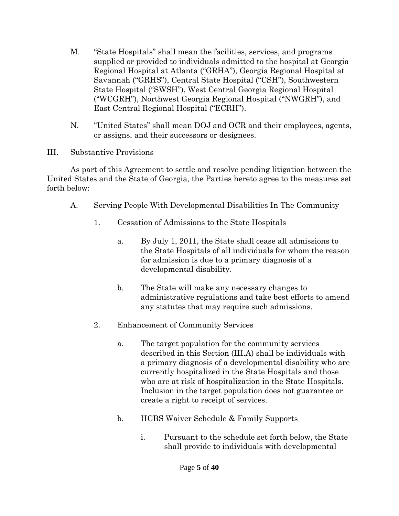- M. "State Hospitals" shall mean the facilities, services, and programs supplied or provided to individuals admitted to the hospital at Georgia Regional Hospital at Atlanta ("GRHA"), Georgia Regional Hospital at Savannah ("GRHS"), Central State Hospital ("CSH"), Southwestern State Hospital ("SWSH"), West Central Georgia Regional Hospital ("WCGRH"), Northwest Georgia Regional Hospital ("NWGRH"), and East Central Regional Hospital ("ECRH").
- N. "United States" shall mean DOJ and OCR and their employees, agents, or assigns, and their successors or designees.
- III. Substantive Provisions

As part of this Agreement to settle and resolve pending litigation between the United States and the State of Georgia, the Parties hereto agree to the measures set forth below:

- A. Serving People With Developmental Disabilities In The Community
	- 1. Cessation of Admissions to the State Hospitals
		- a. By July 1, 2011, the State shall cease all admissions to the State Hospitals of all individuals for whom the reason for admission is due to a primary diagnosis of a developmental disability.
		- b. The State will make any necessary changes to administrative regulations and take best efforts to amend any statutes that may require such admissions.
	- 2. Enhancement of Community Services
		- a. The target population for the community services described in this Section (III.A) shall be individuals with a primary diagnosis of a developmental disability who are currently hospitalized in the State Hospitals and those who are at risk of hospitalization in the State Hospitals. Inclusion in the target population does not guarantee or create a right to receipt of services.
		- b. HCBS Waiver Schedule & Family Supports
			- i. Pursuant to the schedule set forth below, the State shall provide to individuals with developmental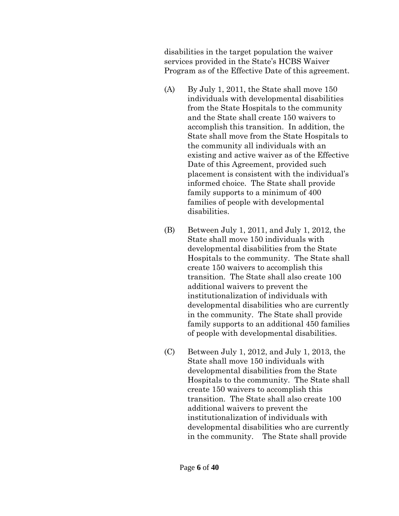disabilities in the target population the waiver services provided in the State's HCBS Waiver Program as of the Effective Date of this agreement.

- (A) By July 1, 2011, the State shall move 150 individuals with developmental disabilities from the State Hospitals to the community and the State shall create 150 waivers to accomplish this transition. In addition, the State shall move from the State Hospitals to the community all individuals with an existing and active waiver as of the Effective Date of this Agreement, provided such placement is consistent with the individual's informed choice. The State shall provide family supports to a minimum of 400 families of people with developmental disabilities.
- (B) Between July 1, 2011, and July 1, 2012, the State shall move 150 individuals with developmental disabilities from the State Hospitals to the community. The State shall create 150 waivers to accomplish this transition. The State shall also create 100 additional waivers to prevent the institutionalization of individuals with developmental disabilities who are currently in the community. The State shall provide family supports to an additional 450 families of people with developmental disabilities.
- (C) Between July 1, 2012, and July 1, 2013, the State shall move 150 individuals with developmental disabilities from the State Hospitals to the community. The State shall create 150 waivers to accomplish this transition. The State shall also create 100 additional waivers to prevent the institutionalization of individuals with developmental disabilities who are currently in the community. The State shall provide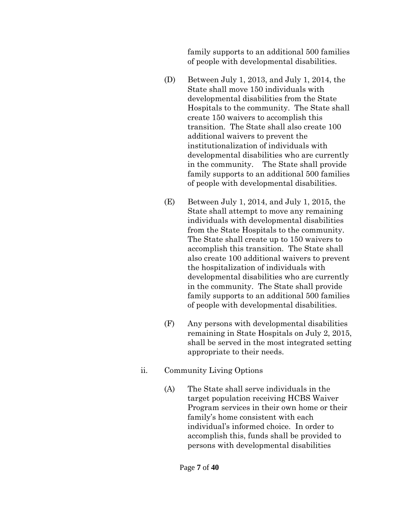family supports to an additional 500 families of people with developmental disabilities.

- (D) Between July 1, 2013, and July 1, 2014, the State shall move 150 individuals with developmental disabilities from the State Hospitals to the community. The State shall create 150 waivers to accomplish this transition. The State shall also create 100 additional waivers to prevent the institutionalization of individuals with developmental disabilities who are currently in the community. The State shall provide family supports to an additional 500 families of people with developmental disabilities.
- (E) Between July 1, 2014, and July 1, 2015, the State shall attempt to move any remaining individuals with developmental disabilities from the State Hospitals to the community. The State shall create up to 150 waivers to accomplish this transition. The State shall also create 100 additional waivers to prevent the hospitalization of individuals with developmental disabilities who are currently in the community. The State shall provide family supports to an additional 500 families of people with developmental disabilities.
- (F) Any persons with developmental disabilities remaining in State Hospitals on July 2, 2015, shall be served in the most integrated setting appropriate to their needs.
- ii. Community Living Options
	- (A) The State shall serve individuals in the target population receiving HCBS Waiver Program services in their own home or their family's home consistent with each individual's informed choice. In order to accomplish this, funds shall be provided to persons with developmental disabilities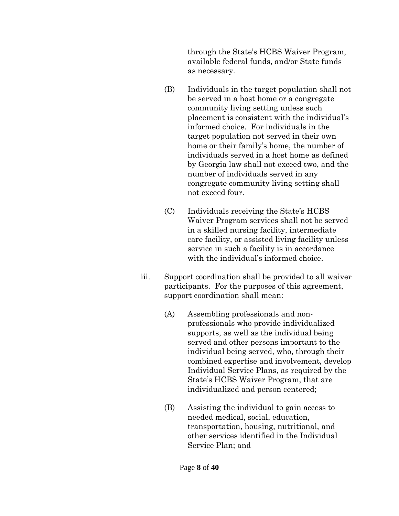through the State's HCBS Waiver Program, available federal funds, and/or State funds as necessary.

- (B) Individuals in the target population shall not be served in a host home or a congregate community living setting unless such placement is consistent with the individual's informed choice. For individuals in the target population not served in their own home or their family's home, the number of individuals served in a host home as defined by Georgia law shall not exceed two, and the number of individuals served in any congregate community living setting shall not exceed four.
- (C) Individuals receiving the State's HCBS Waiver Program services shall not be served in a skilled nursing facility, intermediate care facility, or assisted living facility unless service in such a facility is in accordance with the individual's informed choice.
- iii. Support coordination shall be provided to all waiver participants. For the purposes of this agreement, support coordination shall mean:
	- (A) Assembling professionals and nonprofessionals who provide individualized supports, as well as the individual being served and other persons important to the individual being served, who, through their combined expertise and involvement, develop Individual Service Plans, as required by the State's HCBS Waiver Program, that are individualized and person centered;
	- (B) Assisting the individual to gain access to needed medical, social, education, transportation, housing, nutritional, and other services identified in the Individual Service Plan; and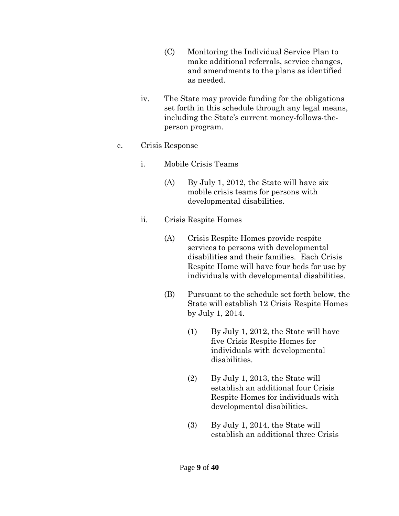- (C) Monitoring the Individual Service Plan to make additional referrals, service changes, and amendments to the plans as identified as needed.
- iv. The State may provide funding for the obligations set forth in this schedule through any legal means, including the State's current money-follows-theperson program.
- c. Crisis Response
	- i. Mobile Crisis Teams
		- (A) By July 1, 2012, the State will have six mobile crisis teams for persons with developmental disabilities.
	- ii. Crisis Respite Homes
		- (A) Crisis Respite Homes provide respite services to persons with developmental disabilities and their families. Each Crisis Respite Home will have four beds for use by individuals with developmental disabilities.
		- (B) Pursuant to the schedule set forth below, the State will establish 12 Crisis Respite Homes by July 1, 2014.
			- (1) By July 1, 2012, the State will have five Crisis Respite Homes for individuals with developmental disabilities.
			- (2) By July 1, 2013, the State will establish an additional four Crisis Respite Homes for individuals with developmental disabilities.
			- (3) By July 1, 2014, the State will establish an additional three Crisis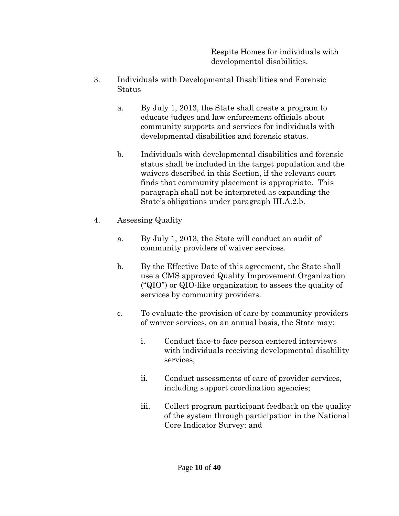Respite Homes for individuals with developmental disabilities.

- 3. Individuals with Developmental Disabilities and Forensic Status
	- a. By July 1, 2013, the State shall create a program to educate judges and law enforcement officials about community supports and services for individuals with developmental disabilities and forensic status.
	- b. Individuals with developmental disabilities and forensic status shall be included in the target population and the waivers described in this Section, if the relevant court finds that community placement is appropriate. This paragraph shall not be interpreted as expanding the State's obligations under paragraph III.A.2.b.
- 4. Assessing Quality
	- a. By July 1, 2013, the State will conduct an audit of community providers of waiver services.
	- b. By the Effective Date of this agreement, the State shall use a CMS approved Quality Improvement Organization ("QIO") or QIO-like organization to assess the quality of services by community providers.
	- c. To evaluate the provision of care by community providers of waiver services, on an annual basis, the State may:
		- i. Conduct face-to-face person centered interviews with individuals receiving developmental disability services;
		- ii. Conduct assessments of care of provider services, including support coordination agencies;
		- iii. Collect program participant feedback on the quality of the system through participation in the National Core Indicator Survey; and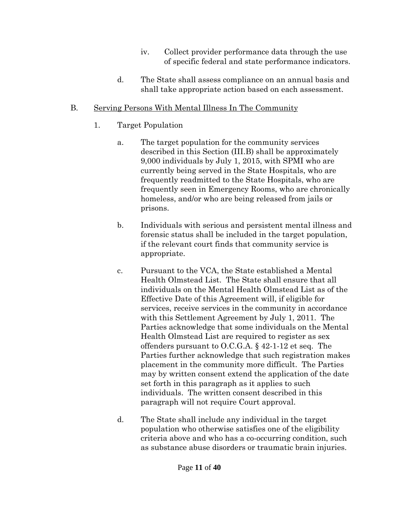- iv. Collect provider performance data through the use of specific federal and state performance indicators.
- d. The State shall assess compliance on an annual basis and shall take appropriate action based on each assessment.

## B. Serving Persons With Mental Illness In The Community

- 1. Target Population
	- a. The target population for the community services described in this Section (III.B) shall be approximately 9,000 individuals by July 1, 2015, with SPMI who are currently being served in the State Hospitals, who are frequently readmitted to the State Hospitals, who are frequently seen in Emergency Rooms, who are chronically homeless, and/or who are being released from jails or prisons.
	- b. Individuals with serious and persistent mental illness and forensic status shall be included in the target population, if the relevant court finds that community service is appropriate.
	- c. Pursuant to the VCA, the State established a Mental Health Olmstead List. The State shall ensure that all individuals on the Mental Health Olmstead List as of the Effective Date of this Agreement will, if eligible for services, receive services in the community in accordance with this Settlement Agreement by July 1, 2011. The Parties acknowledge that some individuals on the Mental Health Olmstead List are required to register as sex offenders pursuant to O.C.G.A. § 42-1-12 et seq. The Parties further acknowledge that such registration makes placement in the community more difficult. The Parties may by written consent extend the application of the date set forth in this paragraph as it applies to such individuals. The written consent described in this paragraph will not require Court approval.
	- d. The State shall include any individual in the target population who otherwise satisfies one of the eligibility criteria above and who has a co-occurring condition, such as substance abuse disorders or traumatic brain injuries.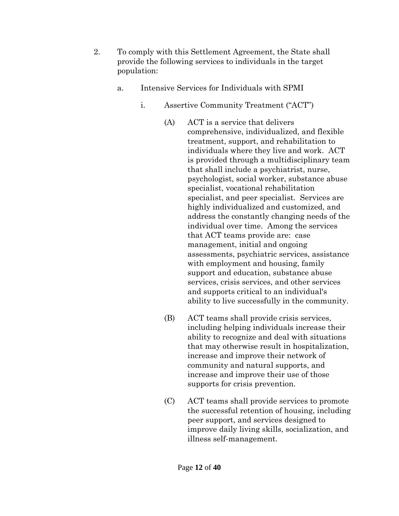- 2. To comply with this Settlement Agreement, the State shall provide the following services to individuals in the target population:
	- a. Intensive Services for Individuals with SPMI
		- i. Assertive Community Treatment ("ACT")
			- (A) ACT is a service that delivers comprehensive, individualized, and flexible treatment, support, and rehabilitation to individuals where they live and work. ACT is provided through a multidisciplinary team that shall include a psychiatrist, nurse, psychologist, social worker, substance abuse specialist, vocational rehabilitation specialist, and peer specialist. Services are highly individualized and customized, and address the constantly changing needs of the individual over time. Among the services that ACT teams provide are: case management, initial and ongoing assessments, psychiatric services, assistance with employment and housing, family support and education, substance abuse services, crisis services, and other services and supports critical to an individual's ability to live successfully in the community.
			- (B) ACT teams shall provide crisis services, including helping individuals increase their ability to recognize and deal with situations that may otherwise result in hospitalization, increase and improve their network of community and natural supports, and increase and improve their use of those supports for crisis prevention.
			- (C) ACT teams shall provide services to promote the successful retention of housing, including peer support, and services designed to improve daily living skills, socialization, and illness self-management.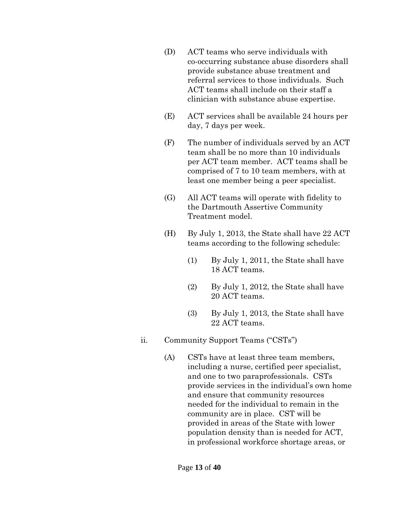- (D) ACT teams who serve individuals with co-occurring substance abuse disorders shall provide substance abuse treatment and referral services to those individuals. Such ACT teams shall include on their staff a clinician with substance abuse expertise.
- (E) ACT services shall be available 24 hours per day, 7 days per week.
- (F) The number of individuals served by an ACT team shall be no more than 10 individuals per ACT team member. ACT teams shall be comprised of 7 to 10 team members, with at least one member being a peer specialist.
- (G) All ACT teams will operate with fidelity to the Dartmouth Assertive Community Treatment model.
- (H) By July 1, 2013, the State shall have 22 ACT teams according to the following schedule:
	- (1) By July 1, 2011, the State shall have 18 ACT teams.
	- (2) By July 1, 2012, the State shall have 20 ACT teams.
	- (3) By July 1, 2013, the State shall have 22 ACT teams.
- ii. Community Support Teams ("CSTs")
	- (A) CSTs have at least three team members, including a nurse, certified peer specialist, and one to two paraprofessionals. CSTs provide services in the individual's own home and ensure that community resources needed for the individual to remain in the community are in place. CST will be provided in areas of the State with lower population density than is needed for ACT, in professional workforce shortage areas, or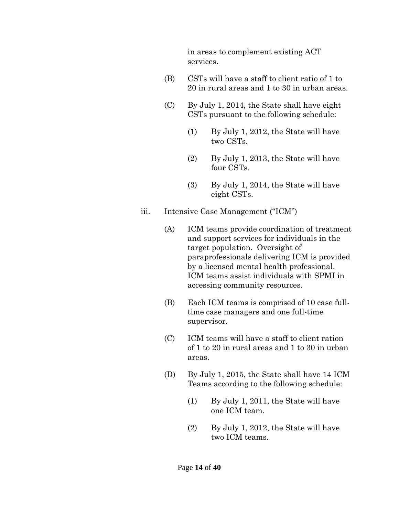in areas to complement existing ACT services.

- (B) CSTs will have a staff to client ratio of 1 to 20 in rural areas and 1 to 30 in urban areas.
- (C) By July 1, 2014, the State shall have eight CSTs pursuant to the following schedule:
	- (1) By July 1, 2012, the State will have two CSTs.
	- (2) By July 1, 2013, the State will have four CSTs.
	- (3) By July 1, 2014, the State will have eight CSTs.
- iii. Intensive Case Management ("ICM")
	- (A) ICM teams provide coordination of treatment and support services for individuals in the target population. Oversight of paraprofessionals delivering ICM is provided by a licensed mental health professional. ICM teams assist individuals with SPMI in accessing community resources.
	- (B) Each ICM teams is comprised of 10 case fulltime case managers and one full-time supervisor.
	- (C) ICM teams will have a staff to client ration of 1 to 20 in rural areas and 1 to 30 in urban areas.
	- (D) By July 1, 2015, the State shall have 14 ICM Teams according to the following schedule:
		- (1) By July 1, 2011, the State will have one ICM team.
		- (2) By July 1, 2012, the State will have two ICM teams.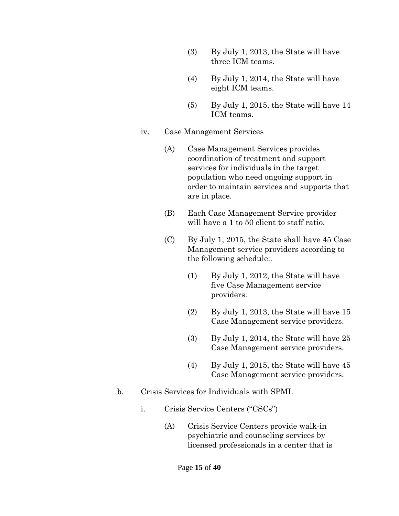- (3) By July 1, 2013, the State will have three ICM teams.
- (4) By July 1, 2014, the State will have eight ICM teams.
- (5) By July 1, 2015, the State will have 14 ICM teams.
- iv. Case Management Services
	- (A) Case Management Services provides coordination of treatment and support services for individuals in the target population who need ongoing support in order to maintain services and supports that are in place.
	- (B) Each Case Management Service provider will have a 1 to 50 client to staff ratio.
	- (C) By July 1, 2015, the State shall have 45 Case Management service providers according to the following schedule:.
		- (1) By July 1, 2012, the State will have five Case Management service providers.
		- (2) By July 1, 2013, the State will have 15 Case Management service providers.
		- (3) By July 1, 2014, the State will have 25 Case Management service providers.
		- (4) By July 1, 2015, the State will have 45 Case Management service providers.
- b. Crisis Services for Individuals with SPMI.
	- i. Crisis Service Centers ("CSCs")
		- (A) Crisis Service Centers provide walk-in psychiatric and counseling services by licensed professionals in a center that is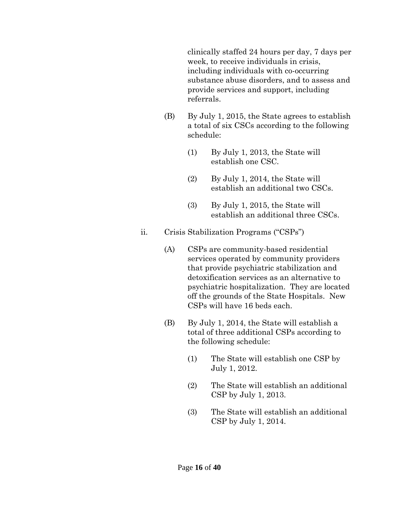clinically staffed 24 hours per day, 7 days per week, to receive individuals in crisis, including individuals with co-occurring substance abuse disorders, and to assess and provide services and support, including referrals.

- (B) By July 1, 2015, the State agrees to establish a total of six CSCs according to the following schedule:
	- (1) By July 1, 2013, the State will establish one CSC.
	- (2) By July 1, 2014, the State will establish an additional two CSCs.
	- (3) By July 1, 2015, the State will establish an additional three CSCs.
- ii. Crisis Stabilization Programs ("CSPs")
	- (A) CSPs are community-based residential services operated by community providers that provide psychiatric stabilization and detoxification services as an alternative to psychiatric hospitalization. They are located off the grounds of the State Hospitals. New CSPs will have 16 beds each.
	- (B) By July 1, 2014, the State will establish a total of three additional CSPs according to the following schedule:
		- (1) The State will establish one CSP by July 1, 2012.
		- (2) The State will establish an additional CSP by July 1, 2013.
		- (3) The State will establish an additional CSP by July 1, 2014.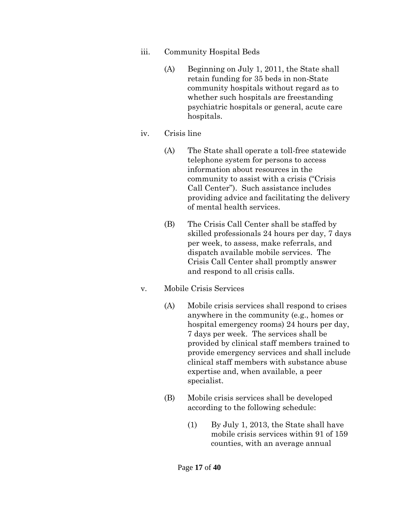- iii. Community Hospital Beds
	- (A) Beginning on July 1, 2011, the State shall retain funding for 35 beds in non-State community hospitals without regard as to whether such hospitals are freestanding psychiatric hospitals or general, acute care hospitals.
- iv. Crisis line
	- (A) The State shall operate a toll-free statewide telephone system for persons to access information about resources in the community to assist with a crisis ("Crisis Call Center"). Such assistance includes providing advice and facilitating the delivery of mental health services.
	- (B) The Crisis Call Center shall be staffed by skilled professionals 24 hours per day, 7 days per week, to assess, make referrals, and dispatch available mobile services. The Crisis Call Center shall promptly answer and respond to all crisis calls.
- v. Mobile Crisis Services
	- (A) Mobile crisis services shall respond to crises anywhere in the community (e.g., homes or hospital emergency rooms) 24 hours per day, 7 days per week. The services shall be provided by clinical staff members trained to provide emergency services and shall include clinical staff members with substance abuse expertise and, when available, a peer specialist.
	- (B) Mobile crisis services shall be developed according to the following schedule:
		- (1) By July 1, 2013, the State shall have mobile crisis services within 91 of 159 counties, with an average annual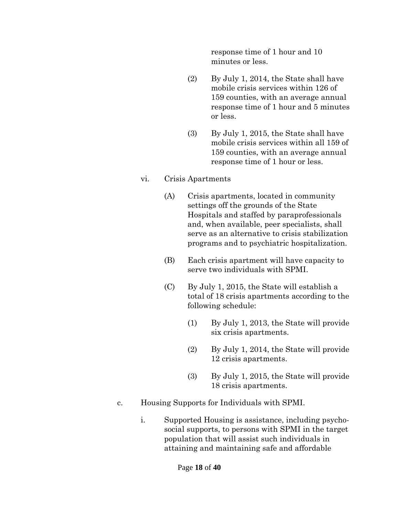response time of 1 hour and 10 minutes or less.

- (2) By July 1, 2014, the State shall have mobile crisis services within 126 of 159 counties, with an average annual response time of 1 hour and 5 minutes or less.
- (3) By July 1, 2015, the State shall have mobile crisis services within all 159 of 159 counties, with an average annual response time of 1 hour or less.
- vi. Crisis Apartments
	- (A) Crisis apartments, located in community settings off the grounds of the State Hospitals and staffed by paraprofessionals and, when available, peer specialists, shall serve as an alternative to crisis stabilization programs and to psychiatric hospitalization.
	- (B) Each crisis apartment will have capacity to serve two individuals with SPMI.
	- (C) By July 1, 2015, the State will establish a total of 18 crisis apartments according to the following schedule:
		- (1) By July 1, 2013, the State will provide six crisis apartments.
		- (2) By July 1, 2014, the State will provide 12 crisis apartments.
		- (3) By July 1, 2015, the State will provide 18 crisis apartments.
- c. Housing Supports for Individuals with SPMI.
	- i. Supported Housing is assistance, including psychosocial supports, to persons with SPMI in the target population that will assist such individuals in attaining and maintaining safe and affordable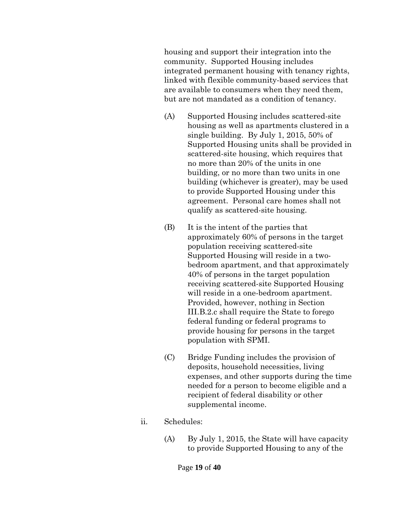housing and support their integration into the community. Supported Housing includes integrated permanent housing with tenancy rights, linked with flexible community-based services that are available to consumers when they need them, but are not mandated as a condition of tenancy.

- (A) Supported Housing includes scattered-site housing as well as apartments clustered in a single building. By July 1, 2015, 50% of Supported Housing units shall be provided in scattered-site housing, which requires that no more than 20% of the units in one building, or no more than two units in one building (whichever is greater), may be used to provide Supported Housing under this agreement. Personal care homes shall not qualify as scattered-site housing.
- (B) It is the intent of the parties that approximately 60% of persons in the target population receiving scattered-site Supported Housing will reside in a twobedroom apartment, and that approximately 40% of persons in the target population receiving scattered-site Supported Housing will reside in a one-bedroom apartment. Provided, however, nothing in Section III.B.2.c shall require the State to forego federal funding or federal programs to provide housing for persons in the target population with SPMI.
- (C) Bridge Funding includes the provision of deposits, household necessities, living expenses, and other supports during the time needed for a person to become eligible and a recipient of federal disability or other supplemental income.
- ii. Schedules:
	- (A) By July 1, 2015, the State will have capacity to provide Supported Housing to any of the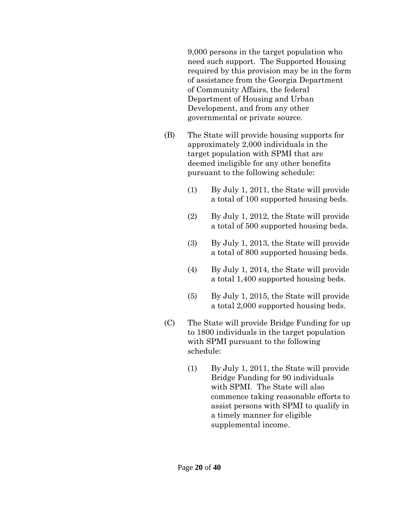9,000 persons in the target population who need such support. The Supported Housing required by this provision may be in the form of assistance from the Georgia Department of Community Affairs, the federal Department of Housing and Urban Development, and from any other governmental or private source.

- (B) The State will provide housing supports for approximately 2,000 individuals in the target population with SPMI that are deemed ineligible for any other benefits pursuant to the following schedule:
	- (1) By July 1, 2011, the State will provide a total of 100 supported housing beds.
	- (2) By July 1, 2012, the State will provide a total of 500 supported housing beds.
	- (3) By July 1, 2013, the State will provide a total of 800 supported housing beds.
	- (4) By July 1, 2014, the State will provide a total 1,400 supported housing beds.
	- (5) By July 1, 2015, the State will provide a total 2,000 supported housing beds.
- (C) The State will provide Bridge Funding for up to 1800 individuals in the target population with SPMI pursuant to the following schedule:
	- (1) By July 1, 2011, the State will provide Bridge Funding for 90 individuals with SPMI. The State will also commence taking reasonable efforts to assist persons with SPMI to qualify in a timely manner for eligible supplemental income.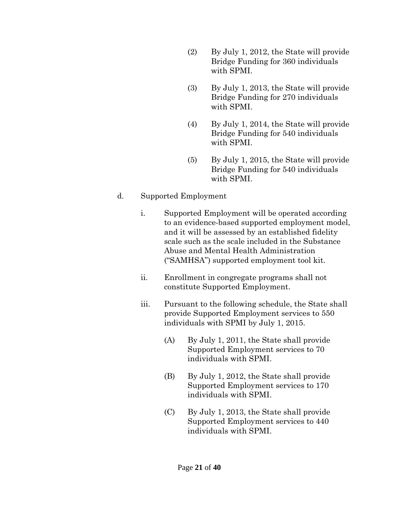- (2) By July 1, 2012, the State will provide Bridge Funding for 360 individuals with SPMI.
- (3) By July 1, 2013, the State will provide Bridge Funding for 270 individuals with SPMI.
- (4) By July 1, 2014, the State will provide Bridge Funding for 540 individuals with SPMI.
- (5) By July 1, 2015, the State will provide Bridge Funding for 540 individuals with SPMI.

#### d. Supported Employment

- i. Supported Employment will be operated according to an evidence-based supported employment model, and it will be assessed by an established fidelity scale such as the scale included in the Substance Abuse and Mental Health Administration ("SAMHSA") supported employment tool kit.
- ii. Enrollment in congregate programs shall not constitute Supported Employment.
- iii. Pursuant to the following schedule, the State shall provide Supported Employment services to 550 individuals with SPMI by July 1, 2015.
	- (A) By July 1, 2011, the State shall provide Supported Employment services to 70 individuals with SPMI.
	- (B) By July 1, 2012, the State shall provide Supported Employment services to 170 individuals with SPMI.
	- (C) By July 1, 2013, the State shall provide Supported Employment services to 440 individuals with SPMI.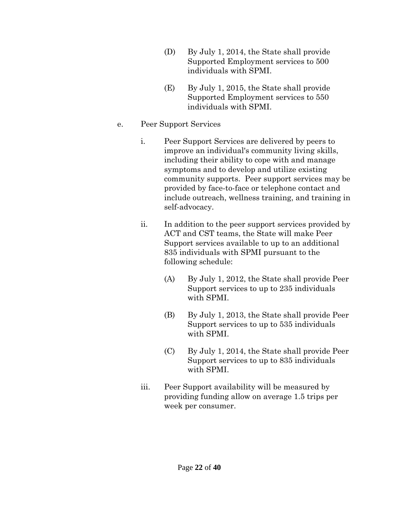- (D) By July 1, 2014, the State shall provide Supported Employment services to 500 individuals with SPMI.
- (E) By July 1, 2015, the State shall provide Supported Employment services to 550 individuals with SPMI.
- e. Peer Support Services
	- i. Peer Support Services are delivered by peers to improve an individual's community living skills, including their ability to cope with and manage symptoms and to develop and utilize existing community supports. Peer support services may be provided by face-to-face or telephone contact and include outreach, wellness training, and training in self-advocacy.
	- ii. In addition to the peer support services provided by ACT and CST teams, the State will make Peer Support services available to up to an additional 835 individuals with SPMI pursuant to the following schedule:
		- (A) By July 1, 2012, the State shall provide Peer Support services to up to 235 individuals with SPMI.
		- (B) By July 1, 2013, the State shall provide Peer Support services to up to 535 individuals with SPMI.
		- (C) By July 1, 2014, the State shall provide Peer Support services to up to 835 individuals with SPMI.
	- iii. Peer Support availability will be measured by providing funding allow on average 1.5 trips per week per consumer.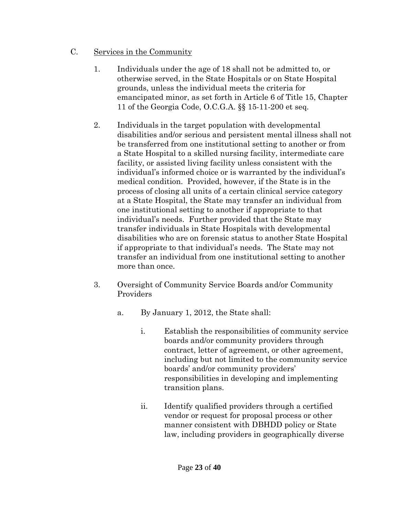- C. Services in the Community
	- 1. Individuals under the age of 18 shall not be admitted to, or otherwise served, in the State Hospitals or on State Hospital grounds, unless the individual meets the criteria for emancipated minor, as set forth in Article 6 of Title 15, Chapter 11 of the Georgia Code, O.C.G.A. §§ 15-11-200 et seq.
	- 2. Individuals in the target population with developmental disabilities and/or serious and persistent mental illness shall not be transferred from one institutional setting to another or from a State Hospital to a skilled nursing facility, intermediate care facility, or assisted living facility unless consistent with the individual's informed choice or is warranted by the individual's medical condition. Provided, however, if the State is in the process of closing all units of a certain clinical service category at a State Hospital, the State may transfer an individual from one institutional setting to another if appropriate to that individual's needs. Further provided that the State may transfer individuals in State Hospitals with developmental disabilities who are on forensic status to another State Hospital if appropriate to that individual's needs. The State may not transfer an individual from one institutional setting to another more than once.
	- 3. Oversight of Community Service Boards and/or Community Providers
		- a. By January 1, 2012, the State shall:
			- i. Establish the responsibilities of community service boards and/or community providers through contract, letter of agreement, or other agreement, including but not limited to the community service boards' and/or community providers' responsibilities in developing and implementing transition plans.
			- ii. Identify qualified providers through a certified vendor or request for proposal process or other manner consistent with DBHDD policy or State law, including providers in geographically diverse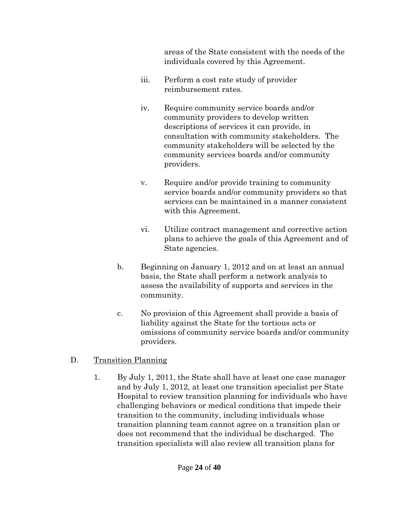areas of the State consistent with the needs of the individuals covered by this Agreement.

- iii. Perform a cost rate study of provider reimbursement rates.
- iv. Require community service boards and/or community providers to develop written descriptions of services it can provide, in consultation with community stakeholders. The community stakeholders will be selected by the community services boards and/or community providers.
- v. Require and/or provide training to community service boards and/or community providers so that services can be maintained in a manner consistent with this Agreement.
- vi. Utilize contract management and corrective action plans to achieve the goals of this Agreement and of State agencies.
- b. Beginning on January 1, 2012 and on at least an annual basis, the State shall perform a network analysis to assess the availability of supports and services in the community.
- c. No provision of this Agreement shall provide a basis of liability against the State for the tortious acts or omissions of community service boards and/or community providers.

## D. Transition Planning

1. By July 1, 2011, the State shall have at least one case manager and by July 1, 2012, at least one transition specialist per State Hospital to review transition planning for individuals who have challenging behaviors or medical conditions that impede their transition to the community, including individuals whose transition planning team cannot agree on a transition plan or does not recommend that the individual be discharged. The transition specialists will also review all transition plans for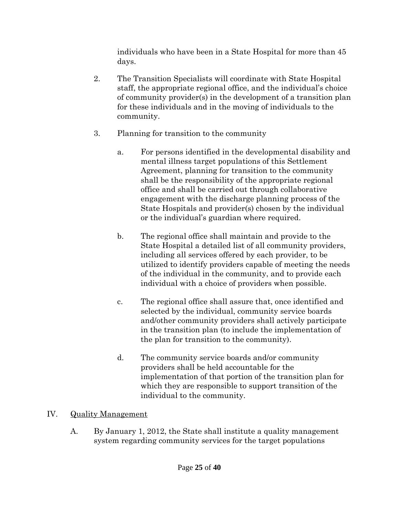individuals who have been in a State Hospital for more than 45 days.

- 2. The Transition Specialists will coordinate with State Hospital staff, the appropriate regional office, and the individual's choice of community provider(s) in the development of a transition plan for these individuals and in the moving of individuals to the community.
- 3. Planning for transition to the community
	- a. For persons identified in the developmental disability and mental illness target populations of this Settlement Agreement, planning for transition to the community shall be the responsibility of the appropriate regional office and shall be carried out through collaborative engagement with the discharge planning process of the State Hospitals and provider(s) chosen by the individual or the individual's guardian where required.
	- b. The regional office shall maintain and provide to the State Hospital a detailed list of all community providers, including all services offered by each provider, to be utilized to identify providers capable of meeting the needs of the individual in the community, and to provide each individual with a choice of providers when possible.
	- c. The regional office shall assure that, once identified and selected by the individual, community service boards and/other community providers shall actively participate in the transition plan (to include the implementation of the plan for transition to the community).
	- d. The community service boards and/or community providers shall be held accountable for the implementation of that portion of the transition plan for which they are responsible to support transition of the individual to the community.

# IV. Quality Management

A. By January 1, 2012, the State shall institute a quality management system regarding community services for the target populations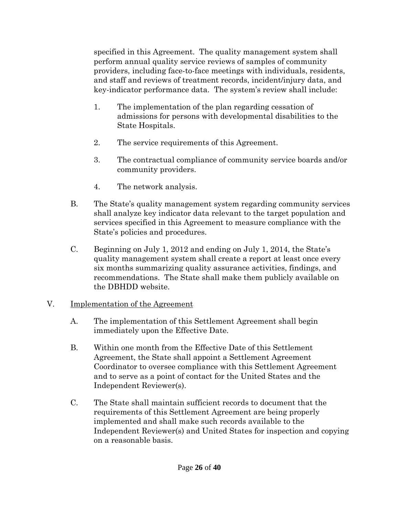specified in this Agreement. The quality management system shall perform annual quality service reviews of samples of community providers, including face-to-face meetings with individuals, residents, and staff and reviews of treatment records, incident/injury data, and key-indicator performance data. The system's review shall include:

- 1. The implementation of the plan regarding cessation of admissions for persons with developmental disabilities to the State Hospitals.
- 2. The service requirements of this Agreement.
- 3. The contractual compliance of community service boards and/or community providers.
- 4. The network analysis.
- B. The State's quality management system regarding community services shall analyze key indicator data relevant to the target population and services specified in this Agreement to measure compliance with the State's policies and procedures.
- C. Beginning on July 1, 2012 and ending on July 1, 2014, the State's quality management system shall create a report at least once every six months summarizing quality assurance activities, findings, and recommendations. The State shall make them publicly available on the DBHDD website.

## V. Implementation of the Agreement

- A. The implementation of this Settlement Agreement shall begin immediately upon the Effective Date.
- B. Within one month from the Effective Date of this Settlement Agreement, the State shall appoint a Settlement Agreement Coordinator to oversee compliance with this Settlement Agreement and to serve as a point of contact for the United States and the Independent Reviewer(s).
- C. The State shall maintain sufficient records to document that the requirements of this Settlement Agreement are being properly implemented and shall make such records available to the Independent Reviewer(s) and United States for inspection and copying on a reasonable basis.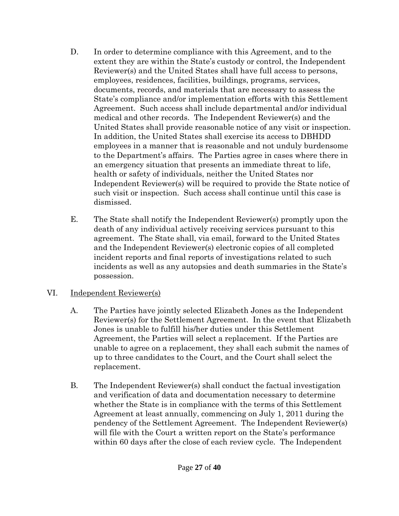- D. In order to determine compliance with this Agreement, and to the extent they are within the State's custody or control, the Independent Reviewer(s) and the United States shall have full access to persons, employees, residences, facilities, buildings, programs, services, documents, records, and materials that are necessary to assess the State's compliance and/or implementation efforts with this Settlement Agreement. Such access shall include departmental and/or individual medical and other records. The Independent Reviewer(s) and the United States shall provide reasonable notice of any visit or inspection. In addition, the United States shall exercise its access to DBHDD employees in a manner that is reasonable and not unduly burdensome to the Department's affairs. The Parties agree in cases where there in an emergency situation that presents an immediate threat to life, health or safety of individuals, neither the United States nor Independent Reviewer(s) will be required to provide the State notice of such visit or inspection. Such access shall continue until this case is dismissed.
- E. The State shall notify the Independent Reviewer(s) promptly upon the death of any individual actively receiving services pursuant to this agreement. The State shall, via email, forward to the United States and the Independent Reviewer(s) electronic copies of all completed incident reports and final reports of investigations related to such incidents as well as any autopsies and death summaries in the State's possession.

## VI. Independent Reviewer(s)

- A. The Parties have jointly selected Elizabeth Jones as the Independent Reviewer(s) for the Settlement Agreement. In the event that Elizabeth Jones is unable to fulfill his/her duties under this Settlement Agreement, the Parties will select a replacement. If the Parties are unable to agree on a replacement, they shall each submit the names of up to three candidates to the Court, and the Court shall select the replacement.
- B. The Independent Reviewer(s) shall conduct the factual investigation and verification of data and documentation necessary to determine whether the State is in compliance with the terms of this Settlement Agreement at least annually, commencing on July 1, 2011 during the pendency of the Settlement Agreement. The Independent Reviewer(s) will file with the Court a written report on the State's performance within 60 days after the close of each review cycle. The Independent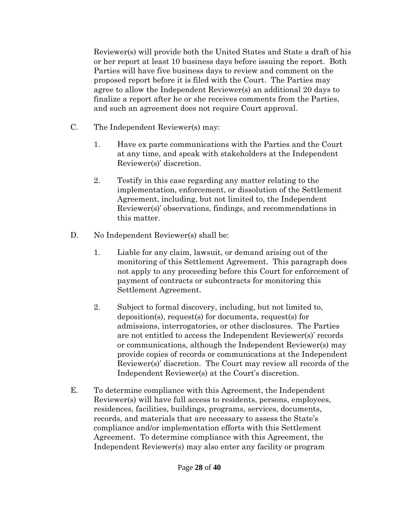Reviewer(s) will provide both the United States and State a draft of his or her report at least 10 business days before issuing the report. Both Parties will have five business days to review and comment on the proposed report before it is filed with the Court. The Parties may agree to allow the Independent Reviewer(s) an additional 20 days to finalize a report after he or she receives comments from the Parties, and such an agreement does not require Court approval.

- C. The Independent Reviewer(s) may:
	- 1. Have ex parte communications with the Parties and the Court at any time, and speak with stakeholders at the Independent Reviewer(s)' discretion.
	- 2. Testify in this case regarding any matter relating to the implementation, enforcement, or dissolution of the Settlement Agreement, including, but not limited to, the Independent Reviewer(s)' observations, findings, and recommendations in this matter.
- D. No Independent Reviewer(s) shall be:
	- 1. Liable for any claim, lawsuit, or demand arising out of the monitoring of this Settlement Agreement. This paragraph does not apply to any proceeding before this Court for enforcement of payment of contracts or subcontracts for monitoring this Settlement Agreement.
	- 2. Subject to formal discovery, including, but not limited to, deposition(s), request(s) for documents, request(s) for admissions, interrogatories, or other disclosures. The Parties are not entitled to access the Independent Reviewer(s)' records or communications, although the Independent Reviewer(s) may provide copies of records or communications at the Independent Reviewer(s)' discretion. The Court may review all records of the Independent Reviewer(s) at the Court's discretion.
- E. To determine compliance with this Agreement, the Independent Reviewer(s) will have full access to residents, persons, employees, residences, facilities, buildings, programs, services, documents, records, and materials that are necessary to assess the State's compliance and/or implementation efforts with this Settlement Agreement. To determine compliance with this Agreement, the Independent Reviewer(s) may also enter any facility or program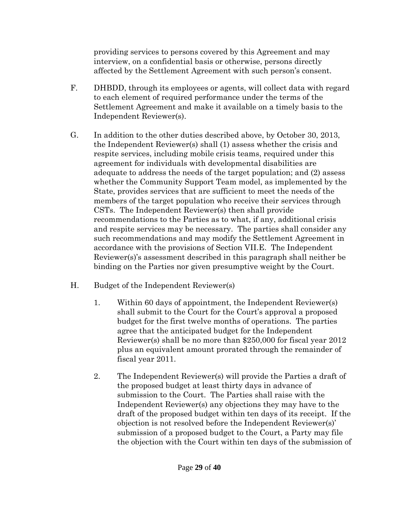providing services to persons covered by this Agreement and may interview, on a confidential basis or otherwise, persons directly affected by the Settlement Agreement with such person's consent.

- F. DHBDD, through its employees or agents, will collect data with regard to each element of required performance under the terms of the Settlement Agreement and make it available on a timely basis to the Independent Reviewer(s).
- G. In addition to the other duties described above, by October 30, 2013, the Independent Reviewer(s) shall (1) assess whether the crisis and respite services, including mobile crisis teams, required under this agreement for individuals with developmental disabilities are adequate to address the needs of the target population; and (2) assess whether the Community Support Team model, as implemented by the State, provides services that are sufficient to meet the needs of the members of the target population who receive their services through CSTs. The Independent Reviewer(s) then shall provide recommendations to the Parties as to what, if any, additional crisis and respite services may be necessary. The parties shall consider any such recommendations and may modify the Settlement Agreement in accordance with the provisions of Section VII.E. The Independent Reviewer(s)'s assessment described in this paragraph shall neither be binding on the Parties nor given presumptive weight by the Court.
- H. Budget of the Independent Reviewer(s)
	- 1. Within 60 days of appointment, the Independent Reviewer(s) shall submit to the Court for the Court's approval a proposed budget for the first twelve months of operations. The parties agree that the anticipated budget for the Independent Reviewer(s) shall be no more than \$250,000 for fiscal year 2012 plus an equivalent amount prorated through the remainder of fiscal year 2011.
	- 2. The Independent Reviewer(s) will provide the Parties a draft of the proposed budget at least thirty days in advance of submission to the Court. The Parties shall raise with the Independent Reviewer(s) any objections they may have to the draft of the proposed budget within ten days of its receipt. If the objection is not resolved before the Independent Reviewer(s)' submission of a proposed budget to the Court, a Party may file the objection with the Court within ten days of the submission of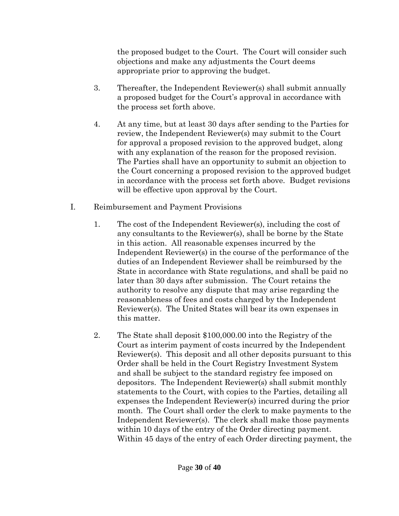the proposed budget to the Court. The Court will consider such objections and make any adjustments the Court deems appropriate prior to approving the budget.

- 3. Thereafter, the Independent Reviewer(s) shall submit annually a proposed budget for the Court's approval in accordance with the process set forth above.
- 4. At any time, but at least 30 days after sending to the Parties for review, the Independent Reviewer(s) may submit to the Court for approval a proposed revision to the approved budget, along with any explanation of the reason for the proposed revision. The Parties shall have an opportunity to submit an objection to the Court concerning a proposed revision to the approved budget in accordance with the process set forth above. Budget revisions will be effective upon approval by the Court.
- I. Reimbursement and Payment Provisions
	- 1. The cost of the Independent Reviewer(s), including the cost of any consultants to the Reviewer(s), shall be borne by the State in this action. All reasonable expenses incurred by the Independent Reviewer(s) in the course of the performance of the duties of an Independent Reviewer shall be reimbursed by the State in accordance with State regulations, and shall be paid no later than 30 days after submission. The Court retains the authority to resolve any dispute that may arise regarding the reasonableness of fees and costs charged by the Independent Reviewer(s). The United States will bear its own expenses in this matter.
	- 2. The State shall deposit \$100,000.00 into the Registry of the Court as interim payment of costs incurred by the Independent Reviewer(s). This deposit and all other deposits pursuant to this Order shall be held in the Court Registry Investment System and shall be subject to the standard registry fee imposed on depositors. The Independent Reviewer(s) shall submit monthly statements to the Court, with copies to the Parties, detailing all expenses the Independent Reviewer(s) incurred during the prior month. The Court shall order the clerk to make payments to the Independent Reviewer(s). The clerk shall make those payments within 10 days of the entry of the Order directing payment. Within 45 days of the entry of each Order directing payment, the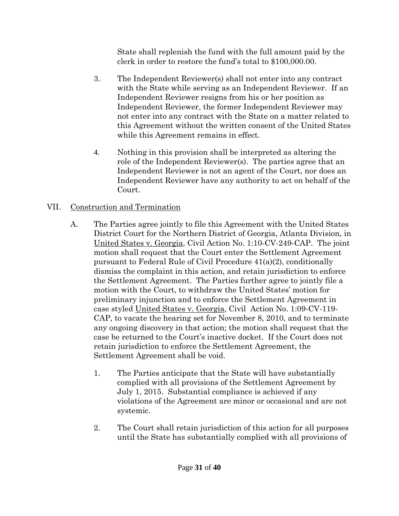State shall replenish the fund with the full amount paid by the clerk in order to restore the fund's total to \$100,000.00.

- 3. The Independent Reviewer(s) shall not enter into any contract with the State while serving as an Independent Reviewer. If an Independent Reviewer resigns from his or her position as Independent Reviewer, the former Independent Reviewer may not enter into any contract with the State on a matter related to this Agreement without the written consent of the United States while this Agreement remains in effect.
- 4. Nothing in this provision shall be interpreted as altering the role of the Independent Reviewer(s). The parties agree that an Independent Reviewer is not an agent of the Court, nor does an Independent Reviewer have any authority to act on behalf of the Court.

# VII. Construction and Termination

- A. The Parties agree jointly to file this Agreement with the United States District Court for the Northern District of Georgia, Atlanta Division, in United States v. Georgia, Civil Action No. 1:10-CV-249-CAP. The joint motion shall request that the Court enter the Settlement Agreement pursuant to Federal Rule of Civil Procedure 41(a)(2), conditionally dismiss the complaint in this action, and retain jurisdiction to enforce the Settlement Agreement. The Parties further agree to jointly file a motion with the Court, to withdraw the United States' motion for preliminary injunction and to enforce the Settlement Agreement in case styled United States v. Georgia, Civil Action No. 1:09-CV-119- CAP, to vacate the hearing set for November 8, 2010, and to terminate any ongoing discovery in that action; the motion shall request that the case be returned to the Court's inactive docket. If the Court does not retain jurisdiction to enforce the Settlement Agreement, the Settlement Agreement shall be void.
	- 1. The Parties anticipate that the State will have substantially complied with all provisions of the Settlement Agreement by July 1, 2015. Substantial compliance is achieved if any violations of the Agreement are minor or occasional and are not systemic.
	- 2. The Court shall retain jurisdiction of this action for all purposes until the State has substantially complied with all provisions of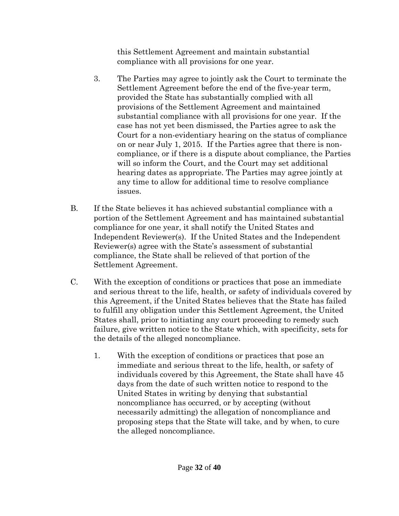this Settlement Agreement and maintain substantial compliance with all provisions for one year.

- 3. The Parties may agree to jointly ask the Court to terminate the Settlement Agreement before the end of the five-year term, provided the State has substantially complied with all provisions of the Settlement Agreement and maintained substantial compliance with all provisions for one year. If the case has not yet been dismissed, the Parties agree to ask the Court for a non-evidentiary hearing on the status of compliance on or near July 1, 2015. If the Parties agree that there is noncompliance, or if there is a dispute about compliance, the Parties will so inform the Court, and the Court may set additional hearing dates as appropriate. The Parties may agree jointly at any time to allow for additional time to resolve compliance issues.
- B. If the State believes it has achieved substantial compliance with a portion of the Settlement Agreement and has maintained substantial compliance for one year, it shall notify the United States and Independent Reviewer(s). If the United States and the Independent Reviewer(s) agree with the State's assessment of substantial compliance, the State shall be relieved of that portion of the Settlement Agreement.
- C. With the exception of conditions or practices that pose an immediate and serious threat to the life, health, or safety of individuals covered by this Agreement, if the United States believes that the State has failed to fulfill any obligation under this Settlement Agreement, the United States shall, prior to initiating any court proceeding to remedy such failure, give written notice to the State which, with specificity, sets for the details of the alleged noncompliance.
	- 1. With the exception of conditions or practices that pose an immediate and serious threat to the life, health, or safety of individuals covered by this Agreement, the State shall have 45 days from the date of such written notice to respond to the United States in writing by denying that substantial noncompliance has occurred, or by accepting (without necessarily admitting) the allegation of noncompliance and proposing steps that the State will take, and by when, to cure the alleged noncompliance.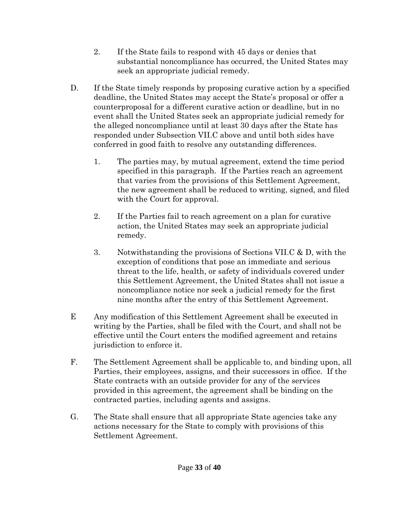- 2. If the State fails to respond with 45 days or denies that substantial noncompliance has occurred, the United States may seek an appropriate judicial remedy.
- D. If the State timely responds by proposing curative action by a specified deadline, the United States may accept the State's proposal or offer a counterproposal for a different curative action or deadline, but in no event shall the United States seek an appropriate judicial remedy for the alleged noncompliance until at least 30 days after the State has responded under Subsection VII.C above and until both sides have conferred in good faith to resolve any outstanding differences.
	- 1. The parties may, by mutual agreement, extend the time period specified in this paragraph. If the Parties reach an agreement that varies from the provisions of this Settlement Agreement, the new agreement shall be reduced to writing, signed, and filed with the Court for approval.
	- 2. If the Parties fail to reach agreement on a plan for curative action, the United States may seek an appropriate judicial remedy.
	- 3. Notwithstanding the provisions of Sections VII.C & D, with the exception of conditions that pose an immediate and serious threat to the life, health, or safety of individuals covered under this Settlement Agreement, the United States shall not issue a noncompliance notice nor seek a judicial remedy for the first nine months after the entry of this Settlement Agreement.
- E Any modification of this Settlement Agreement shall be executed in writing by the Parties, shall be filed with the Court, and shall not be effective until the Court enters the modified agreement and retains jurisdiction to enforce it.
- F. The Settlement Agreement shall be applicable to, and binding upon, all Parties, their employees, assigns, and their successors in office. If the State contracts with an outside provider for any of the services provided in this agreement, the agreement shall be binding on the contracted parties, including agents and assigns.
- G. The State shall ensure that all appropriate State agencies take any actions necessary for the State to comply with provisions of this Settlement Agreement.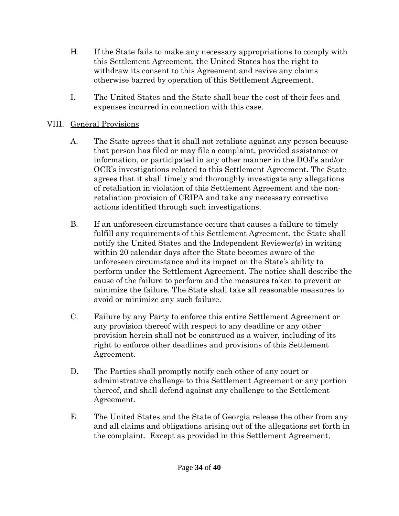- H. If the State fails to make any necessary appropriations to comply with this Settlement Agreement, the United States has the right to withdraw its consent to this Agreement and revive any claims otherwise barred by operation of this Settlement Agreement.
- I. The United States and the State shall bear the cost of their fees and expenses incurred in connection with this case.

## VIII. General Provisions

- A. The State agrees that it shall not retaliate against any person because that person has filed or may file a complaint, provided assistance or information, or participated in any other manner in the DOJ's and/or OCR's investigations related to this Settlement Agreement. The State agrees that it shall timely and thoroughly investigate any allegations of retaliation in violation of this Settlement Agreement and the nonretaliation provision of CRIPA and take any necessary corrective actions identified through such investigations.
- B. If an unforeseen circumstance occurs that causes a failure to timely fulfill any requirements of this Settlement Agreement, the State shall notify the United States and the Independent Reviewer(s) in writing within 20 calendar days after the State becomes aware of the unforeseen circumstance and its impact on the State's ability to perform under the Settlement Agreement. The notice shall describe the cause of the failure to perform and the measures taken to prevent or minimize the failure. The State shall take all reasonable measures to avoid or minimize any such failure.
- C. Failure by any Party to enforce this entire Settlement Agreement or any provision thereof with respect to any deadline or any other provision herein shall not be construed as a waiver, including of its right to enforce other deadlines and provisions of this Settlement Agreement.
- D. The Parties shall promptly notify each other of any court or administrative challenge to this Settlement Agreement or any portion thereof, and shall defend against any challenge to the Settlement Agreement.
- E. The United States and the State of Georgia release the other from any and all claims and obligations arising out of the allegations set forth in the complaint. Except as provided in this Settlement Agreement,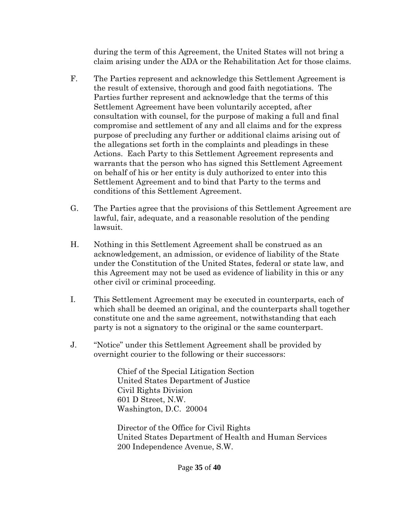during the term of this Agreement, the United States will not bring a claim arising under the ADA or the Rehabilitation Act for those claims.

- F. The Parties represent and acknowledge this Settlement Agreement is the result of extensive, thorough and good faith negotiations. The Parties further represent and acknowledge that the terms of this Settlement Agreement have been voluntarily accepted, after consultation with counsel, for the purpose of making a full and final compromise and settlement of any and all claims and for the express purpose of precluding any further or additional claims arising out of the allegations set forth in the complaints and pleadings in these Actions. Each Party to this Settlement Agreement represents and warrants that the person who has signed this Settlement Agreement on behalf of his or her entity is duly authorized to enter into this Settlement Agreement and to bind that Party to the terms and conditions of this Settlement Agreement.
- G. The Parties agree that the provisions of this Settlement Agreement are lawful, fair, adequate, and a reasonable resolution of the pending lawsuit.
- H. Nothing in this Settlement Agreement shall be construed as an acknowledgement, an admission, or evidence of liability of the State under the Constitution of the United States, federal or state law, and this Agreement may not be used as evidence of liability in this or any other civil or criminal proceeding.
- I. This Settlement Agreement may be executed in counterparts, each of which shall be deemed an original, and the counterparts shall together constitute one and the same agreement, notwithstanding that each party is not a signatory to the original or the same counterpart.
- J. "Notice" under this Settlement Agreement shall be provided by overnight courier to the following or their successors:

Chief of the Special Litigation Section United States Department of Justice Civil Rights Division 601 D Street, N.W. Washington, D.C. 20004

Director of the Office for Civil Rights United States Department of Health and Human Services 200 Independence Avenue, S.W.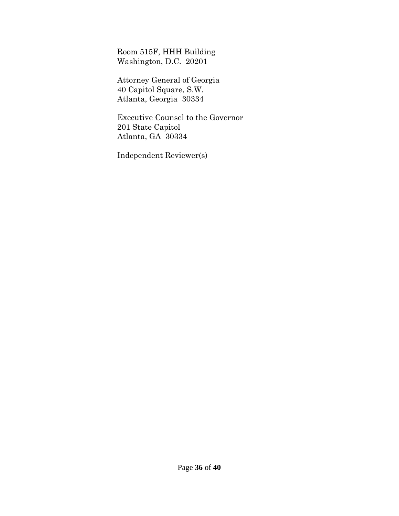Room 515F, HHH Building Washington, D.C. 20201

Attorney General of Georgia 40 Capitol Square, S.W. Atlanta, Georgia 30334

Executive Counsel to the Governor 201 State Capitol Atlanta, GA 30334

Independent Reviewer(s)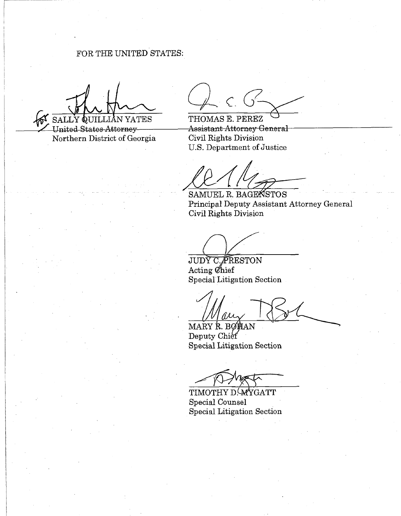FOR THE UNITED STATES:

SALLY QUILLIAN YATES

United States Attorney Northern District of Georgia

 $C. G -$ 

THOMAS E. PEREZ **Assistant Attorney General** Civil Rights Division U.S. Department of Justice

SAMUEL R. BAGENSTOS Principal Deputy Assistant Attorney General Civil Rights Division

JUDY C. PRESTON Acting Chief **Special Litigation Section** 

MARY R. BOHAN Deputy Chief Special Litigation Section

TIMOTHY D. WYGATT **Special Counsel** Special Litigation Section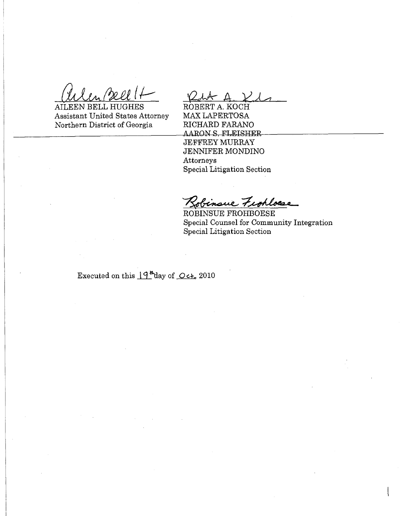AILEEN BELL HUGHES **Assistant United States Attorney** Northern District of Georgia

ROBERT A. KOCH MAX LAPERTOSA RICHARD FARANO AARON S. FLEISHER **JEFFREY MURRAY JENNIFER MONDINO** Attorneys Special Litigation Section

Robinsue Fiohloese

ROBINSUE FROHBOESE Special Counsel for Community Integration Special Litigation Section

Executed on this  $19^{4}$ day of Oct, 2010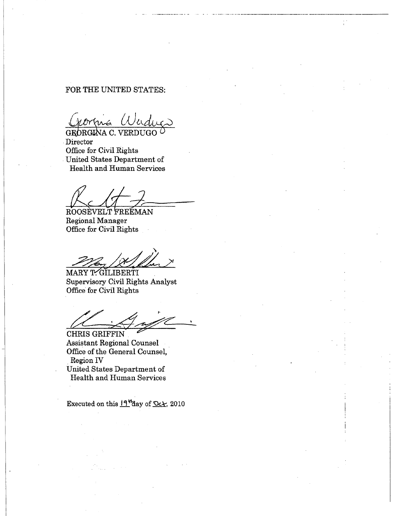#### FOR THE UNITED STATES:

GEORGINA C. VERDUGO Director Office for Civil Rights United States Department of **Health and Human Services** 

ROOSEVELT FREEMAN Regional Manager Office for Civil Rights

MARY T. GILIBERTI Supervisory Civil Rights Analyst Office for Civil Rights

CHRIS GRIFFIN **Assistant Regional Counsel** Office of the General Counsel, Region IV United States Department of Health and Human Services

Executed on this  $19^{\prime\prime}$ day of Oc $\star$ , 2010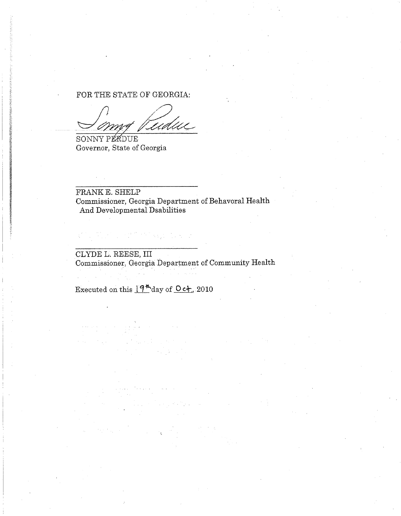#### FOR THE STATE OF GEORGIA:

tudue

SONNY PLADUE Governor, State of Georgia

FRANK E. SHELP Commissioner, Georgia Department of Behavoral Health And Developmental Dsabilities

 $\mathcal{L}(\mathcal{F}^{(1)}_t \times \mathcal{F}^{(2)}_t \times \mathcal{E}^{(1)}_t \times \mathcal{E}^{(1)}_t \times \mathcal{E}^{(1)}_t \times \mathcal{E}^{(1)}_t \times \mathcal{E}^{(1)}_t \times \mathcal{E}^{(1)}_t \times \mathcal{E}^{(1)}_t \times \mathcal{E}^{(1)}_t \times \mathcal{E}^{(1)}_t \times \mathcal{E}^{(1)}_t \times \mathcal{E}^{(1)}_t \times \mathcal{E}^{(1)}_t \times \mathcal{E}^{(1)}_t \times \mathcal{$ 

CLYDE L. REESE, III Commissioner, Georgia Department of Community Health

Executed on this  $19^{\frac{m}{2}}$  day of  $0c_{\text{L}}$ , 2010